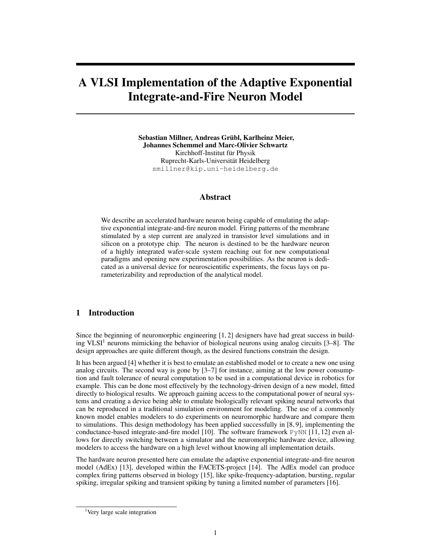# A VLSI Implementation of the Adaptive Exponential Integrate-and-Fire Neuron Model

Sebastian Millner, Andreas Grübl, Karlheinz Meier, Johannes Schemmel and Marc-Olivier Schwartz Kirchhoff-Institut für Physik Ruprecht-Karls-Universitat Heidelberg ¨ smillner@kip.uni-heidelberg.de

# Abstract

We describe an accelerated hardware neuron being capable of emulating the adaptive exponential integrate-and-fire neuron model. Firing patterns of the membrane stimulated by a step current are analyzed in transistor level simulations and in silicon on a prototype chip. The neuron is destined to be the hardware neuron of a highly integrated wafer-scale system reaching out for new computational paradigms and opening new experimentation possibilities. As the neuron is dedicated as a universal device for neuroscientific experiments, the focus lays on parameterizability and reproduction of the analytical model.

# 1 Introduction

Since the beginning of neuromorphic engineering [1, 2] designers have had great success in building VLSI<sup>1</sup> neurons mimicking the behavior of biological neurons using analog circuits  $[3-8]$ . The design approaches are quite different though, as the desired functions constrain the design.

It has been argued [4] whether it is best to emulate an established model or to create a new one using analog circuits. The second way is gone by  $[3-7]$  for instance, aiming at the low power consumption and fault tolerance of neural computation to be used in a computational device in robotics for example. This can be done most effectively by the technology-driven design of a new model, fitted directly to biological results. We approach gaining access to the computational power of neural systems and creating a device being able to emulate biologically relevant spiking neural networks that can be reproduced in a traditional simulation environment for modeling. The use of a commonly known model enables modelers to do experiments on neuromorphic hardware and compare them to simulations. This design methodology has been applied successfully in [8, 9], implementing the conductance-based integrate-and-fire model [10]. The software framework PyNN [11, 12] even allows for directly switching between a simulator and the neuromorphic hardware device, allowing modelers to access the hardware on a high level without knowing all implementation details.

The hardware neuron presented here can emulate the adaptive exponential integrate-and-fire neuron model (AdEx) [13], developed within the FACETS-project [14]. The AdEx model can produce complex firing patterns observed in biology [15], like spike-frequency-adaptation, bursting, regular spiking, irregular spiking and transient spiking by tuning a limited number of parameters [16].

<sup>&</sup>lt;sup>1</sup>Very large scale integration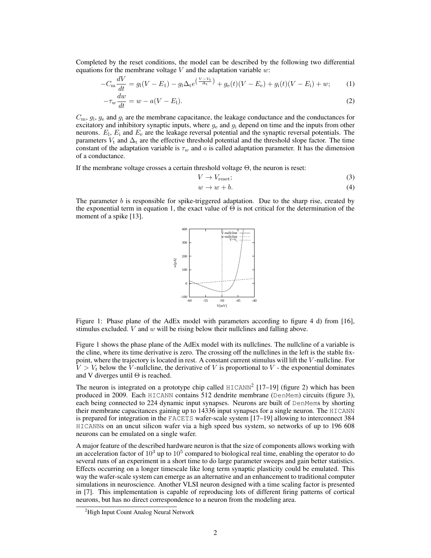Completed by the reset conditions, the model can be described by the following two differential equations for the membrane voltage  $V$  and the adaptation variable  $w$ :

$$
-C_{\rm m} \frac{dV}{dt} = g_{\rm l}(V - E_1) - g_{\rm l} \Delta_{\rm t} e^{\left(\frac{V - V_{\rm t}}{\Delta_{\rm t}}\right)} + g_{\rm e}(t)(V - E_{\rm e}) + g_{\rm i}(t)(V - E_{\rm i}) + w; \tag{1}
$$

$$
-\tau_w \frac{dw}{dt} = w - a(V - E_1). \tag{2}
$$

 $C_m$ ,  $g_1$ ,  $g_e$  and  $g_i$  are the membrane capacitance, the leakage conductance and the conductances for excitatory and inhibitory synaptic inputs, where  $g_e$  and  $g_i$  depend on time and the inputs from other neurons.  $E_1$ ,  $E_i$  and  $E_e$  are the leakage reversal potential and the synaptic reversal potentials. The parameters  $V_t$  and  $\Delta_t$  are the effective threshold potential and the threshold slope factor. The time constant of the adaptation variable is  $\tau_w$  and a is called adaptation parameter. It has the dimension of a conductance.

If the membrane voltage crosses a certain threshold voltage  $\Theta$ , the neuron is reset:

$$
V \to V_{\text{reset}};\tag{3}
$$

$$
w \to w + b. \tag{4}
$$

The parameter  $b$  is responsible for spike-triggered adaptation. Due to the sharp rise, created by the exponential term in equation 1, the exact value of  $\Theta$  is not critical for the determination of the moment of a spike [13].



Figure 1: Phase plane of the AdEx model with parameters according to figure 4 d) from [16], stimulus excluded.  $V$  and  $w$  will be rising below their nullclines and falling above.

Figure 1 shows the phase plane of the AdEx model with its nullclines. The nullcline of a variable is the cline, where its time derivative is zero. The crossing off the nullclines in the left is the stable fixpoint, where the trajectory is located in rest. A constant current stimulus will lift the V -nullcline. For  $V > V_t$  below the V-nullcline, the derivative of V is proportional to V - the exponential dominates and V diverges until  $\Theta$  is reached.

The neuron is integrated on a prototype chip called  $HICANN<sup>2</sup>$  [17-19] (figure 2) which has been produced in 2009. Each HICANN contains 512 dendrite membrane (DenMem) circuits (figure 3), each being connected to 224 dynamic input synapses. Neurons are built of DenMems by shorting their membrane capacitances gaining up to 14336 input synapses for a single neuron. The HICANN is prepared for integration in the FACETS wafer-scale system [17–19] allowing to interconnect 384 HICANNs on an uncut silicon wafer via a high speed bus system, so networks of up to 196 608 neurons can be emulated on a single wafer.

A major feature of the described hardware neuron is that the size of components allows working with an acceleration factor of  $10^3$  up to  $10^5$  compared to biological real time, enabling the operator to do several runs of an experiment in a short time to do large parameter sweeps and gain better statistics. Effects occurring on a longer timescale like long term synaptic plasticity could be emulated. This way the wafer-scale system can emerge as an alternative and an enhancement to traditional computer simulations in neuroscience. Another VLSI neuron designed with a time scaling factor is presented in [7]. This implementation is capable of reproducing lots of different firing patterns of cortical neurons, but has no direct correspondence to a neuron from the modeling area.

<sup>&</sup>lt;sup>2</sup>High Input Count Analog Neural Network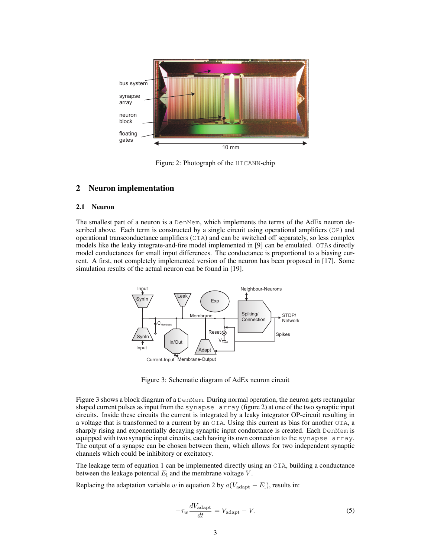

Figure 2: Photograph of the HICANN-chip

# 2 Neuron implementation

#### 2.1 Neuron

The smallest part of a neuron is a DenMem, which implements the terms of the AdEx neuron described above. Each term is constructed by a single circuit using operational amplifiers (OP) and operational transconductance amplifiers (OTA) and can be switched off separately, so less complex models like the leaky integrate-and-fire model implemented in [9] can be emulated. OTAs directly model conductances for small input differences. The conductance is proportional to a biasing current. A first, not completely implemented version of the neuron has been proposed in [17]. Some simulation results of the actual neuron can be found in [19].



Figure 3: Schematic diagram of AdEx neuron circuit

Figure 3 shows a block diagram of a DenMem. During normal operation, the neuron gets rectangular shaped current pulses as input from the synapse array (figure 2) at one of the two synaptic input circuits. Inside these circuits the current is integrated by a leaky integrator OP-circuit resulting in a voltage that is transformed to a current by an OTA. Using this current as bias for another OTA, a sharply rising and exponentially decaying synaptic input conductance is created. Each DenMem is equipped with two synaptic input circuits, each having its own connection to the synapse array. The output of a synapse can be chosen between them, which allows for two independent synaptic channels which could be inhibitory or excitatory.

The leakage term of equation 1 can be implemented directly using an OTA, building a conductance between the leakage potential  $E_1$  and the membrane voltage  $V$ .

Replacing the adaptation variable w in equation 2 by  $a(V_{\text{adapt}} - E_l)$ , results in:

$$
-\tau_w \frac{dV_{\text{adapt}}}{dt} = V_{\text{adapt}} - V.
$$
 (5)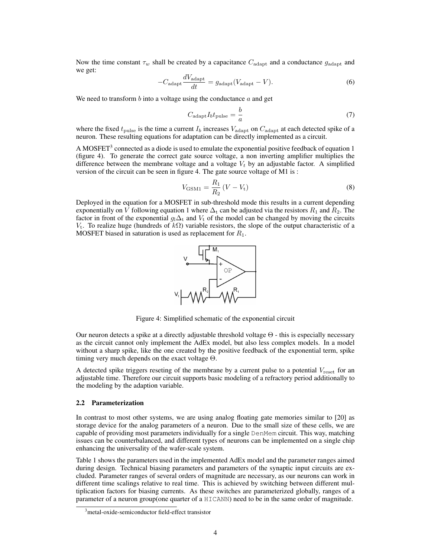Now the time constant  $\tau_w$  shall be created by a capacitance  $C_{\text{adapt}}$  and a conductance  $g_{\text{adapt}}$  and we get:

$$
-C_{\rm adapt} \frac{dV_{\rm adapt}}{dt} = g_{\rm adapt} (V_{\rm adapt} - V). \tag{6}
$$

We need to transform  $b$  into a voltage using the conductance  $a$  and get

$$
C_{\rm adapt} I_b t_{\rm pulse} = \frac{b}{a} \tag{7}
$$

where the fixed  $t_{\text{pulse}}$  is the time a current  $I_b$  increases  $V_{\text{adapt}}$  on  $C_{\text{adapt}}$  at each detected spike of a neuron. These resulting equations for adaptation can be directly implemented as a circuit.

A MOSFET<sup>3</sup> connected as a diode is used to emulate the exponential positive feedback of equation 1 (figure 4). To generate the correct gate source voltage, a non inverting amplifier multiplies the difference between the membrane voltage and a voltage  $V_t$  by an adjustable factor. A simplified version of the circuit can be seen in figure 4. The gate source voltage of M1 is :

$$
V_{\text{GSM1}} = \frac{R_1}{R_2} \left( V - V_t \right) \tag{8}
$$

Deployed in the equation for a MOSFET in sub-threshold mode this results in a current depending exponentially on V following equation 1 where  $\Delta_t$  can be adjusted via the resistors  $R_1$  and  $R_2$ . The factor in front of the exponential  $g_1\Delta_t$  and  $V_t$  of the model can be changed by moving the circuits  $V_t$ . To realize huge (hundreds of  $k\Omega$ ) variable resistors, the slope of the output characteristic of a MOSFET biased in saturation is used as replacement for  $R_1$ .



Figure 4: Simplified schematic of the exponential circuit

Our neuron detects a spike at a directly adjustable threshold voltage Θ - this is especially necessary as the circuit cannot only implement the AdEx model, but also less complex models. In a model without a sharp spike, like the one created by the positive feedback of the exponential term, spike timing very much depends on the exact voltage  $\Theta$ .

A detected spike triggers reseting of the membrane by a current pulse to a potential  $V_{\text{reset}}$  for an adjustable time. Therefore our circuit supports basic modeling of a refractory period additionally to the modeling by the adaption variable.

#### 2.2 Parameterization

In contrast to most other systems, we are using analog floating gate memories similar to [20] as storage device for the analog parameters of a neuron. Due to the small size of these cells, we are capable of providing most parameters individually for a single DenMem circuit. This way, matching issues can be counterbalanced, and different types of neurons can be implemented on a single chip enhancing the universality of the wafer-scale system.

Table 1 shows the parameters used in the implemented AdEx model and the parameter ranges aimed during design. Technical biasing parameters and parameters of the synaptic input circuits are excluded. Parameter ranges of several orders of magnitude are necessary, as our neurons can work in different time scalings relative to real time. This is achieved by switching between different multiplication factors for biasing currents. As these switches are parameterized globally, ranges of a parameter of a neuron group(one quarter of a HICANN) need to be in the same order of magnitude.

<sup>&</sup>lt;sup>3</sup>metal-oxide-semiconductor field-effect transistor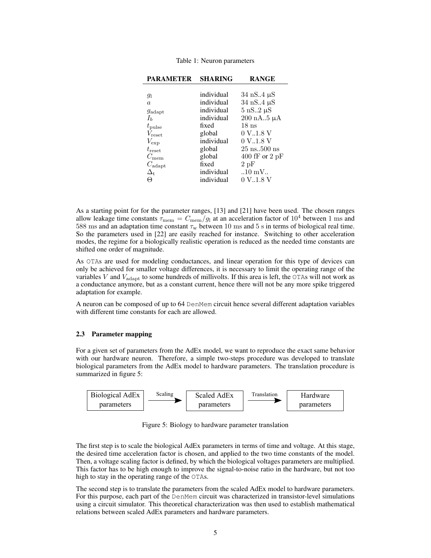| LANADID LDN        | ouanist    | ivan vie                             |
|--------------------|------------|--------------------------------------|
|                    |            |                                      |
| 91                 | individual | $34$ nS4 $\mu$ S                     |
| $\boldsymbol{a}$   | individual | 34 nS. $4 \mu S$                     |
| $y_{\text{adapt}}$ | individual | $5 \text{ nS}$ 2 $\mu$ S             |
| I <sub>b</sub>     | individual | $200$ nA5 $\mu$ A                    |
| $t_{\rm pulse}$    | fixed      | 18 <sub>ns</sub>                     |
| $V_{\text{reset}}$ | global     | $0 \mathrm{V}$ .1.8 V                |
| $V_{\rm exp}$      | individual | 0 V.1.8 V                            |
| $t_{\rm reset}$    | global     | $25 \text{ ns} \dots 500 \text{ ns}$ |
| $C_{\rm mem}$      | global     | $400$ fF or 2 pF                     |
| $U_{\rm adapt}$    | fixed      | 2pF                                  |
| $\Delta_{\rm t}$   | individual | $10$ mV $$                           |
|                    | individual | 0 V1.8 V                             |
|                    |            |                                      |

**DADAMETED SHADING DANCE** 

As a starting point for for the parameter ranges, [13] and [21] have been used. The chosen ranges allow leakage time constants  $\tau_{\text{mem}} = C_{\text{mem}}/g_1$  at an acceleration factor of  $10^4$  between 1 ms and 588 ms and an adaptation time constant  $\tau_w$  between 10 ms and 5 s in terms of biological real time. So the parameters used in [22] are easily reached for instance. Switching to other acceleration modes, the regime for a biologically realistic operation is reduced as the needed time constants are shifted one order of magnitude.

As OTAs are used for modeling conductances, and linear operation for this type of devices can only be achieved for smaller voltage differences, it is necessary to limit the operating range of the variables V and  $V_{\text{adapt}}$  to some hundreds of millivolts. If this area is left, the OTAs will not work as a conductance anymore, but as a constant current, hence there will not be any more spike triggered adaptation for example.

A neuron can be composed of up to 64 DenMem circuit hence several different adaptation variables with different time constants for each are allowed.

#### 2.3 Parameter mapping

For a given set of parameters from the AdEx model, we want to reproduce the exact same behavior with our hardware neuron. Therefore, a simple two-steps procedure was developed to translate biological parameters from the AdEx model to hardware parameters. The translation procedure is summarized in figure 5:



Figure 5: Biology to hardware parameter translation

The first step is to scale the biological AdEx parameters in terms of time and voltage. At this stage, the desired time acceleration factor is chosen, and applied to the two time constants of the model. Then, a voltage scaling factor is defined, by which the biological voltages parameters are multiplied. This factor has to be high enough to improve the signal-to-noise ratio in the hardware, but not too high to stay in the operating range of the OTAs.

The second step is to translate the parameters from the scaled AdEx model to hardware parameters. For this purpose, each part of the DenMem circuit was characterized in transistor-level simulations using a circuit simulator. This theoretical characterization was then used to establish mathematical relations between scaled AdEx parameters and hardware parameters.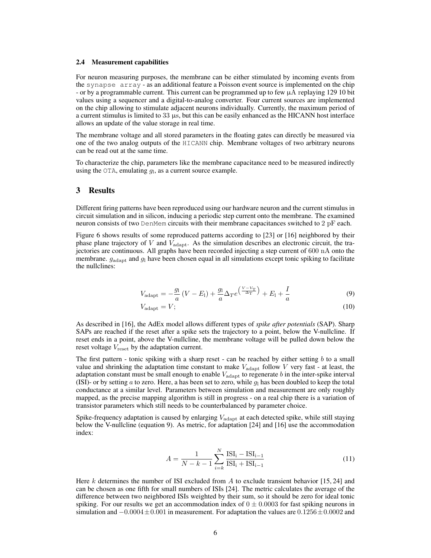#### 2.4 Measurement capabilities

For neuron measuring purposes, the membrane can be either stimulated by incoming events from the synapse array - as an additional feature a Poisson event source is implemented on the chip - or by a programmable current. This current can be programmed up to few µA replaying 129 10 bit values using a sequencer and a digital-to-analog converter. Four current sources are implemented on the chip allowing to stimulate adjacent neurons individually. Currently, the maximum period of a current stimulus is limited to  $33 \mu s$ , but this can be easily enhanced as the HICANN host interface allows an update of the value storage in real time.

The membrane voltage and all stored parameters in the floating gates can directly be measured via one of the two analog outputs of the HICANN chip. Membrane voltages of two arbitrary neurons can be read out at the same time.

To characterize the chip, parameters like the membrane capacitance need to be measured indirectly using the OTA, emulating  $g<sub>l</sub>$ , as a current source example.

#### 3 Results

Different firing patterns have been reproduced using our hardware neuron and the current stimulus in circuit simulation and in silicon, inducing a periodic step current onto the membrane. The examined neuron consists of two DenMem circuits with their membrane capacitances switched to 2 pF each.

Figure 6 shows results of some reproduced patterns according to [23] or [16] neighbored by their phase plane trajectory of  $V$  and  $V_{\text{adapt}}$ . As the simulation describes an electronic circuit, the trajectories are continuous. All graphs have been recorded injecting a step current of 600 nA onto the membrane.  $g_{\text{adapt}}$  and  $g_1$  have been chosen equal in all simulations except tonic spiking to facilitate the nullclines:

$$
V_{\rm adapt} = -\frac{g_1}{a} (V - E_1) + \frac{g_1}{a} \Delta_T e^{\left(\frac{V - V_T}{\Delta_T}\right)} + E_1 + \frac{I}{a}
$$
(9)

$$
V_{\rm adapt} = V; \tag{10}
$$

As described in [16], the AdEx model allows different types of *spike after potentials* (SAP). Sharp SAPs are reached if the reset after a spike sets the trajectory to a point, below the V-nullcline. If reset ends in a point, above the V-nullcline, the membrane voltage will be pulled down below the reset voltage  $V_{\text{reset}}$  by the adaptation current.

The first pattern - tonic spiking with a sharp reset - can be reached by either setting  $b$  to a small value and shrinking the adaptation time constant to make  $V_{\text{adapt}}$  follow V very fast - at least, the adaptation constant must be small enough to enable  $V_{\text{adapt}}$  to regenerate b in the inter-spike interval (ISI)- or by setting  $a$  to zero. Here, a has been set to zero, while  $g<sub>l</sub>$  has been doubled to keep the total conductance at a similar level. Parameters between simulation and measurement are only roughly mapped, as the precise mapping algorithm is still in progress - on a real chip there is a variation of transistor parameters which still needs to be counterbalanced by parameter choice.

Spike-frequency adaptation is caused by enlarging  $V_{\rm adapt}$  at each detected spike, while still staying below the V-nullcline (equation 9). As metric, for adaptation [24] and [16] use the accommodation index:

$$
A = \frac{1}{N - k - 1} \sum_{i=k}^{N} \frac{\text{ISI}_{i} - \text{ISI}_{i-1}}{\text{ISI}_{i} + \text{ISI}_{i-1}}
$$
(11)

Here k determines the number of ISI excluded from A to exclude transient behavior [15, 24] and can be chosen as one fifth for small numbers of ISIs [24]. The metric calculates the average of the difference between two neighbored ISIs weighted by their sum, so it should be zero for ideal tonic spiking. For our results we get an accommodation index of  $0 \pm 0.0003$  for fast spiking neurons in simulation and  $-0.0004 \pm 0.001$  in measurement. For adaptation the values are  $0.1256 \pm 0.0002$  and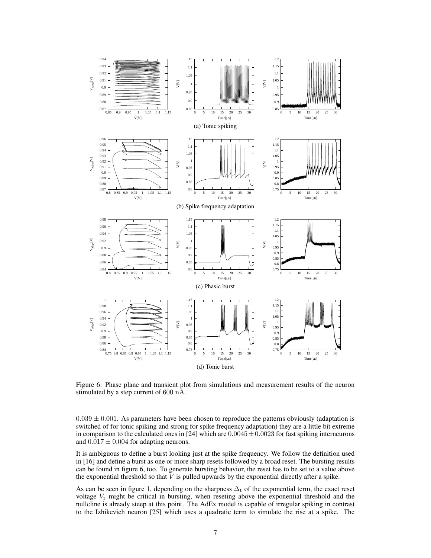

Figure 6: Phase plane and transient plot from simulations and measurement results of the neuron stimulated by a step current of 600 nA.

 $0.039 \pm 0.001$ . As parameters have been chosen to reproduce the patterns obviously (adaptation is switched of for tonic spiking and strong for spike frequency adaptation) they are a little bit extreme in comparison to the calculated ones in [24] which are  $0.0045 \pm 0.0023$  for fast spiking interneurons and  $0.017 \pm 0.004$  for adapting neurons.

It is ambiguous to define a burst looking just at the spike frequency. We follow the definition used in [16] and define a burst as one or more sharp resets followed by a broad reset. The bursting results can be found in figure 6, too. To generate bursting behavior, the reset has to be set to a value above the exponential threshold so that  $V$  is pulled upwards by the exponential directly after a spike.

As can be seen in figure 1, depending on the sharpness  $\Delta_t$  of the exponential term, the exact reset voltage  $V_r$  might be critical in bursting, when reseting above the exponential threshold and the nullcline is already steep at this point. The AdEx model is capable of irregular spiking in contrast to the Izhikevich neuron [25] which uses a quadratic term to simulate the rise at a spike. The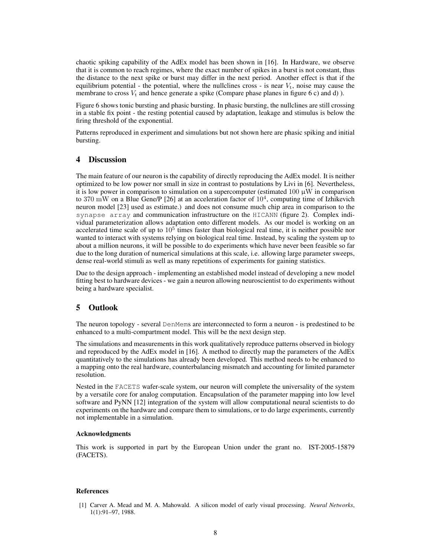chaotic spiking capability of the AdEx model has been shown in [16]. In Hardware, we observe that it is common to reach regimes, where the exact number of spikes in a burst is not constant, thus the distance to the next spike or burst may differ in the next period. Another effect is that if the equilibrium potential - the potential, where the nullclines cross - is near  $V_t$ , noise may cause the membrane to cross  $V_t$  and hence generate a spike (Compare phase planes in figure 6 c) and d) ).

Figure 6 shows tonic bursting and phasic bursting. In phasic bursting, the nullclines are still crossing in a stable fix point - the resting potential caused by adaptation, leakage and stimulus is below the firing threshold of the exponential.

Patterns reproduced in experiment and simulations but not shown here are phasic spiking and initial bursting.

# 4 Discussion

The main feature of our neuron is the capability of directly reproducing the AdEx model. It is neither optimized to be low power nor small in size in contrast to postulations by Livi in [6]. Nevertheless, it is low power in comparison to simulation on a supercomputer (estimated  $100 \mu W$  in comparison to 370 mW on a Blue Gene/P [26] at an acceleration factor of  $10^4$ , computing time of Izhikevich neuron model [23] used as estimate.) and does not consume much chip area in comparison to the synapse array and communication infrastructure on the HICANN (figure 2). Complex individual parameterization allows adaptation onto different models. As our model is working on an accelerated time scale of up to  $10^5$  times faster than biological real time, it is neither possible nor wanted to interact with systems relying on biological real time. Instead, by scaling the system up to about a million neurons, it will be possible to do experiments which have never been feasible so far due to the long duration of numerical simulations at this scale, i.e. allowing large parameter sweeps, dense real-world stimuli as well as many repetitions of experiments for gaining statistics.

Due to the design approach - implementing an established model instead of developing a new model fitting best to hardware devices - we gain a neuron allowing neuroscientist to do experiments without being a hardware specialist.

# 5 Outlook

The neuron topology - several DenMems are interconnected to form a neuron - is predestined to be enhanced to a multi-compartment model. This will be the next design step.

The simulations and measurements in this work qualitatively reproduce patterns observed in biology and reproduced by the AdEx model in [16]. A method to directly map the parameters of the AdEx quantitatively to the simulations has already been developed. This method needs to be enhanced to a mapping onto the real hardware, counterbalancing mismatch and accounting for limited parameter resolution.

Nested in the FACETS wafer-scale system, our neuron will complete the universality of the system by a versatile core for analog computation. Encapsulation of the parameter mapping into low level software and PyNN [12] integration of the system will allow computational neural scientists to do experiments on the hardware and compare them to simulations, or to do large experiments, currently not implementable in a simulation.

#### Acknowledgments

This work is supported in part by the European Union under the grant no. IST-2005-15879 (FACETS).

#### References

[1] Carver A. Mead and M. A. Mahowald. A silicon model of early visual processing. *Neural Networks*, 1(1):91–97, 1988.